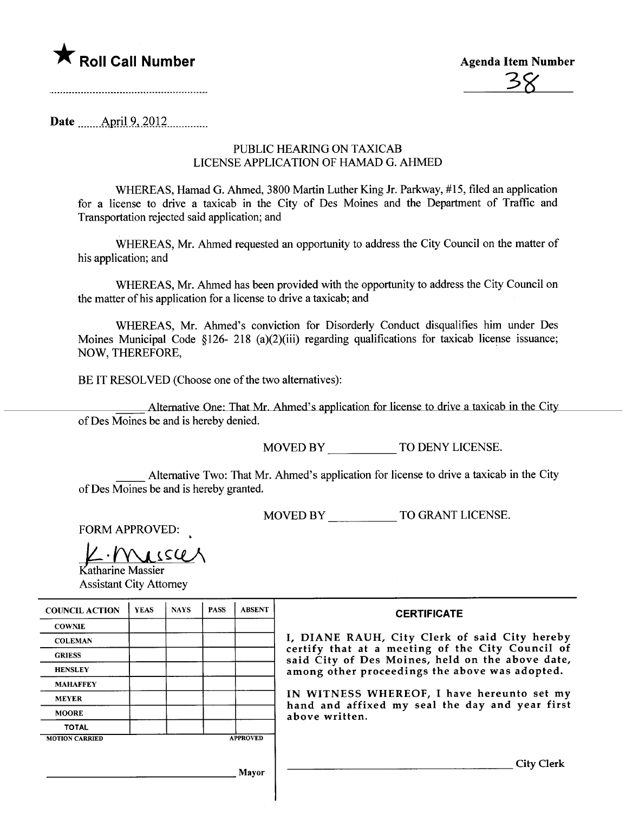

Date \_\_\_\_\_\_ April 9, 2012 \_\_\_\_\_\_\_\_\_

## PUBLIC HEARING ON TAXICAB LICENSE APPLICATION OF HAMAD G. AHMED

WHREAS, Hamad G. Ahmed, 3800 Martin Luther King Jr. Parkway, #15, fied an application for a license to drive a taxicab in the City of Des Moines and the Department of Traffic and Transportation rejected said application; and

WHEREAS, Mr. Ahmed requested an opportunity to address the City Council on the matter of his application; and

WHEREAS, Mr. Ahmed has been provided with the opportunity to address the City Council on the matter of his application for a license to drive a taxicab; and

WHEREAS, Mr. Ahmed's conviction for Disorderly Conduct disqualifies him under Des Moines Municipal Code §126- 218 (a)(2)(iii) regarding qualifications for taxicab license issuance; NOW, THEREFORE,

BE IT RESOLVED (Choose one of the two alternatives):

Alternative One: That Mr. Ahmed's application for license to drive a taxicab in the City of Des Moines be and is hereby denied.

MOVED BY TO DENY LICENSE.

Alternative Two: That Mr. Ahmed's application for license to drive a taxicab in the City of Des Moines be and is hereby granted.

MOVED BY TO GRANT LICENSE.

FORM APPROVED:

 $\n *l l l l l l l l l l l l l l l l l l l l l l l l l l l l l l l* <$ 

Assistant City Attorney

| <b>COUNCIL ACTION</b> | <b>YEAS</b> | <b>NAYS</b> | <b>PASS</b> | <b>ABSENT</b>   | <b>CERTIFICATE</b>                                               |
|-----------------------|-------------|-------------|-------------|-----------------|------------------------------------------------------------------|
| <b>COWNIE</b>         |             |             |             |                 |                                                                  |
| <b>COLEMAN</b>        |             |             |             |                 | I, DIANE RAUH, City Clerk o                                      |
| <b>GRIESS</b>         |             |             |             |                 | certify that at a meeting of tl<br>said City of Des Moines, held |
| <b>HENSLEY</b>        |             |             |             |                 | among other proceedings the al                                   |
| <b>MAHAFFEY</b>       |             |             |             |                 |                                                                  |
| <b>MEYER</b>          |             |             |             |                 | IN WITNESS WHEREOF, I have                                       |
| <b>MOORE</b>          |             |             |             |                 | hand and affixed my seal the<br>above written.                   |
| <b>TOTAL</b>          |             |             |             |                 |                                                                  |
| <b>MOTION CARRIED</b> |             |             |             | <b>APPROVED</b> |                                                                  |

| <b>DUNCIL ACTION</b> | <b>YEAS</b> | <b>NAYS</b> | <b>PASS</b> | <b>ABSENT</b>   | <b>CERTIFICATE</b>                                                                                   |
|----------------------|-------------|-------------|-------------|-----------------|------------------------------------------------------------------------------------------------------|
| <b>COWNIE</b>        |             |             |             |                 |                                                                                                      |
| <b>COLEMAN</b>       |             |             |             |                 | I, DIANE RAUH, City Clerk of said City hereby                                                        |
| <b>GRIESS</b>        |             |             |             |                 | certify that at a meeting of the City Council of<br>said City of Des Moines, held on the above date, |
| <b>HENSLEY</b>       |             |             |             |                 | among other proceedings the above was adopted.                                                       |
| <b>MAHAFFEY</b>      |             |             |             |                 |                                                                                                      |
| <b>MEYER</b>         |             |             |             |                 | IN WITNESS WHEREOF, I have hereunto set my                                                           |
| <b>MOORE</b>         |             |             |             |                 | hand and affixed my seal the day and year first<br>above written.                                    |
| <b>TOTAL</b>         |             |             |             |                 |                                                                                                      |
| <b>DTION CARRIED</b> |             |             |             | <b>APPROVED</b> |                                                                                                      |

City Clerk

Mayor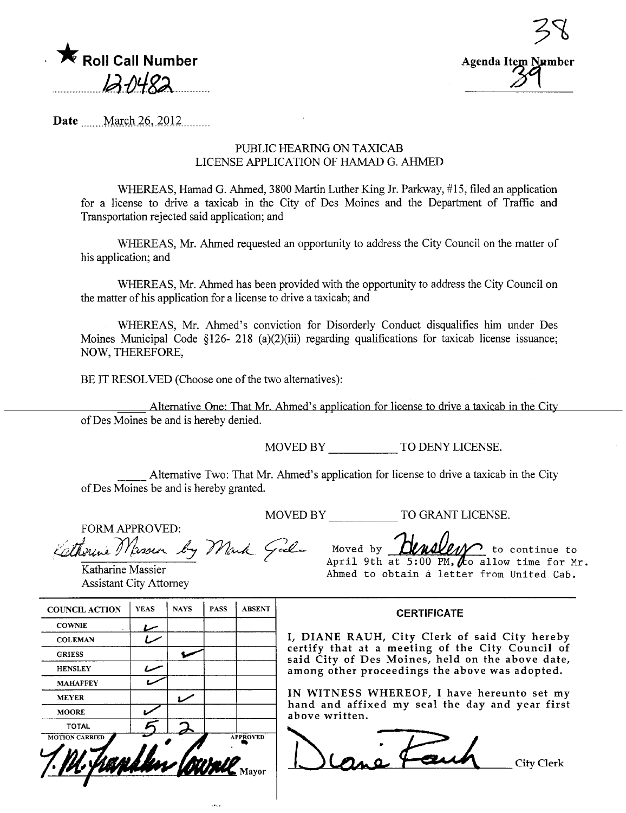



Date March 26, 2012

## PUBLIC HEARING ON TAXICAB LICENSE APPLICATION OF HAMAD G. AHMED

WHEREAS, Hamad G. Ahmed, 3800 Martin Luther King Jr. Parkway, #15, filed an application for a license to drive a taxicab in the City of Des Moines and the Department of Traffic and Transportation rejected said application; and

WHEREAS, Mr. Ahmed requested an opportunity to address the City Council on the matter of his application; and

WHEREAS, Mr. Ahmed has been provided with the opportunity to address the City Council on the matter of his application for a license to drive a taxicab; and

WHEREAS, Mr. Ahmed's conviction for Disorderly Conduct disqualifies him under Des Moines Municipal Code §126- 218 (a)(2)(iii) regarding qualifications for taxicab license issuance; NOW, THEREFORE,

BE IT RESOLVED (Choose one of the two alternatives):

Alternative One: That Mr. Ahmed's application for license to drive a taxicab in the City of Des Moines be and is hereby denied.

MOVED BY TO DENY LICENSE.

Alternative Two: That Mr. Ahmed's application for license to drive a taxicab in the City of Des Moines be and is hereby granted.

MOVED BY TO GRANT LICENSE.

FORM APPROVED: Kethoune Massier by Mark Gali

Katharine Massier Assistant City Attorney

|  | Moved by <b>Hensley</b> to continue to       |
|--|----------------------------------------------|
|  | April 9th at 5:00 PM, $A$ allow time for Mr. |
|  | Ahmed to obtain a letter from United Cab.    |

### CERTIFICATE

I, DIANE RAUH, City Clerk of said City hereby certify that at a meeting of the City Council of said City of Des Moines, held on the above date, among other proceedings the above was adopted.

IN WITNESS WHEREOF, I have hereunto set my hand and affixed my seal the day and year first above written.



| <b>COUNCIL ACTION</b> | <b>YEAS</b> | <b>NAYS</b> | <b>PASS</b> | <b>ABSENT</b>            |
|-----------------------|-------------|-------------|-------------|--------------------------|
| <b>COWNIE</b>         |             |             |             |                          |
| <b>COLEMAN</b>        |             |             |             |                          |
| <b>GRIESS</b>         |             |             |             |                          |
| <b>HENSLEY</b>        |             |             |             |                          |
| <b>MAHAFFEY</b>       |             |             |             |                          |
| <b>MEYER</b>          |             |             |             |                          |
| <b>MOORE</b>          |             |             |             |                          |
| <b>TOTAL</b>          |             |             |             |                          |
| <b>MOTION CARRIED</b> |             |             |             | <b>APPROVED</b><br>Mayor |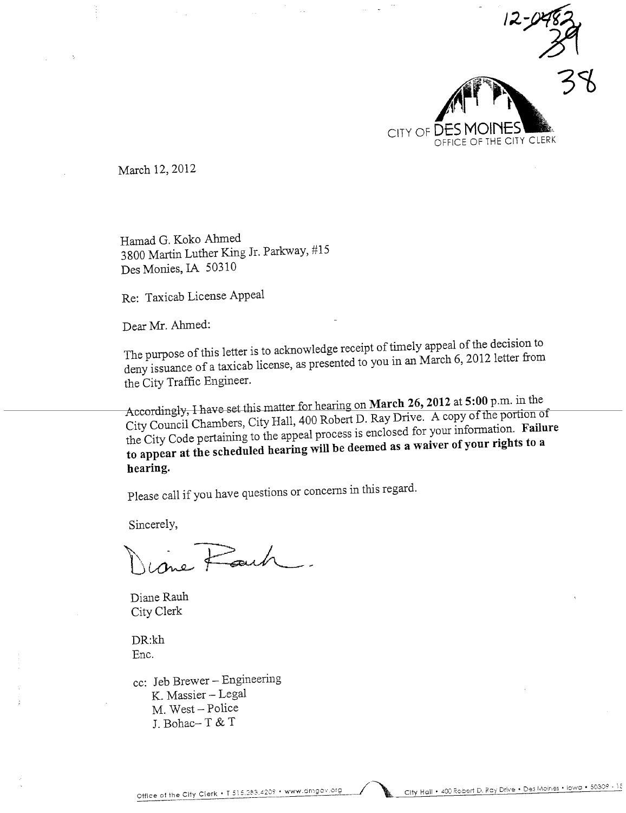

March 12, 2012

Hamad G. Koko Ahmed 3800 Marin Luther Kig Jr. Parkway, #15 Des Monies, IA 50310

Re: Taxicab License Appeal

Dear Mr. Ahmed:

The purpose of this letter is to acknowledge receipt of timely appeal of the decision to deny issuance of a taxicab license, as presented to you in an March 6,2012 letter from the City Traffic Engineer.

Accordingly, I have set this matter for hearing on March 26, 2012 at 5:00 p.m. in the  $C_{\text{H}}$  Council Chambers,  $C_{\text{H}}$ the portion of the City Code pertaining to the appeal process is enclosed for your information. Failure to appear at the scheduled hearing wil be deemed as a waiver of your rights to a hearing.

Please call if you have questions or concerns in this regard.

Sincerely,

 $\forall$  .

Diane Rauh City Clerk

DR:kh Enc.

cc: Jeb Brewer - Engineering K. Massier - Legal M. West - Police J. Bohac- T & T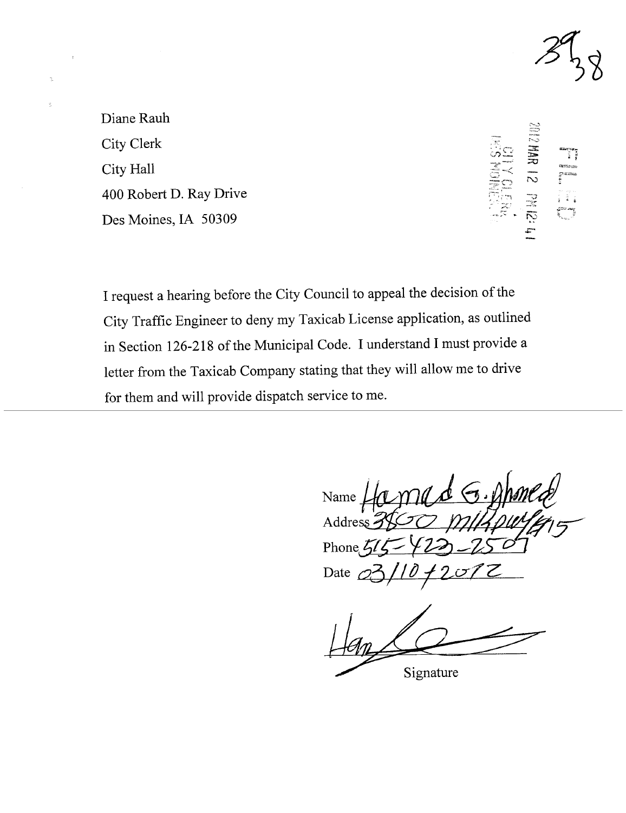

Diane Rauh City Clerk City Hall 400 Robert D. Ray Drive Des Moines, IA 50309

**S1 RAM S10S** 中7月14

I request a hearing before the City Council to appeal the decision of the City Traffic Engineer to deny my Taxicab License application, as outlined in Section 126-218 of the Municipal Code. I understand I must provide a letter from the Taxicab Company stating that they will allow me to drive for them and will provide dispatch service to me.

Name  $\angle$ Address  $\frac{2}{3}$ Phone  $\zeta l$ Date

Signature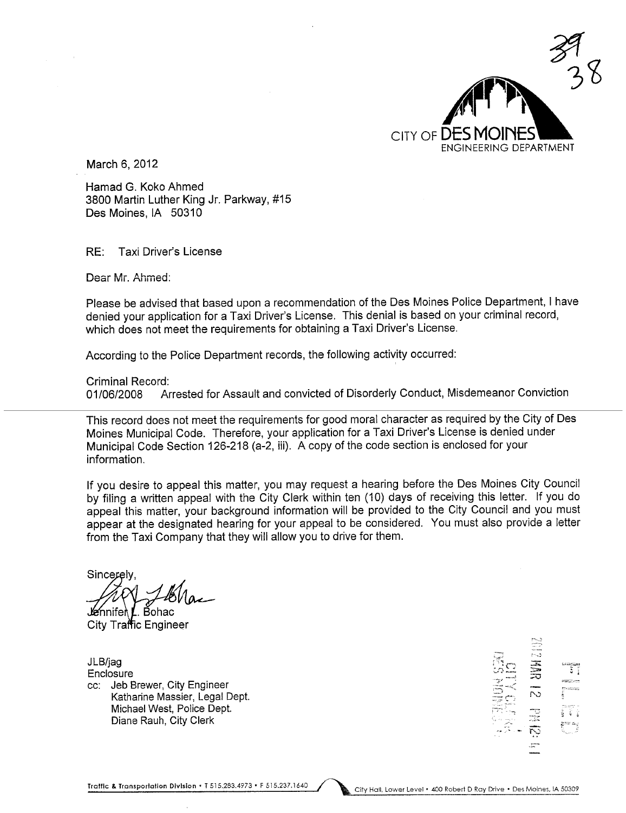

March 6, 2012

Hamad G. Koko Ahmed 3800 Martin Luther King Jr. Parkway, #15 Des Moines, IA 50310

RE: Taxi Driver's License

Dear Mr. Ahmed:

Please be advised that based upon a recommendation of the Des Moines Police Department, I have denied your application for a Taxi Driver's License. This denial is based on your criminal record, which does not meet the requirements for obtaining a Taxi Driver's License.

According to the Police Department records, the following activity occurred:

Criminal Record:<br>01/06/2008 Ar

Arrested for Assault and convicted of Disorderly Conduct, Misdemeanor Conviction

This record does not meet the requirements for good moral character as required by the City of Des Moines Municipal Code. Therefore, your application for a Taxi Driver's License is denied under Municipal Code Section 126-218 (a-2, iii). A copy of the code section is enclosed for your information.

If you desire to appeal this matter, you may request a hearing before the Des Moines City Council by filing a written appeal with the City Clerk within ten (10) days of receiving this letter. If you do appeal this matter, your background information will be provided to the City Council and you must appear at the designated hearing for your appeal to be considered. You must also provide a letter from the Taxi Company that they will allow you to drive for them.

Sincerely **Je**nnifer . Bohac

City Traffic Engineer

JLB/jag Enclosure cc: Jeb Brewer, City Engineer Katharine Massier, Legal Dept. Michael West, Police Dept. Diane Rauh, City Clerk

~"'-.-," f-.,,;  $:$   $:$   $:$ -~-" --.:~  $-1$ :<br>1:1:2:  $\Xi^-_G$   $\bar{\sim}$ .r'-\_  $\sim$   $\sim$   $\sim$  l' $\sim$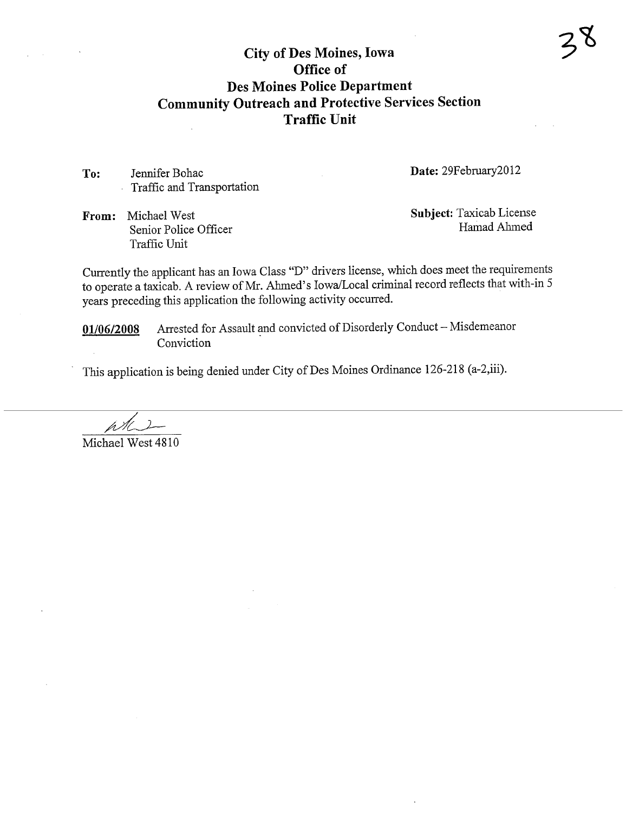# City of Des Moines, Iowa Office of Des Moines Police Department Community Outreach and Protective Services Section Traffic Unit

To: Jennifer Bohac Traffc and Transportation Date: 29February2012

From: Michael West Senior Police Officer Traffic Unit

Subject: Taxicab License Hamad Ahmed

Currently the applicant has an Iowa Class "D" drivers license, wlich does meet the requirements to operate a taxicab. A review of Mr. Ahmed's Iowa/Local criminal record reflects that with-in 5 years preceding this application the following activity occurred.

01/06/2008 Arrested for Assault and convicted of Disorderly Conduct - Misdemeanor Conviction

This application is being denied under City of Des Moines Ordinance 126-218 (a-2,iii).

øt. Michael West 4810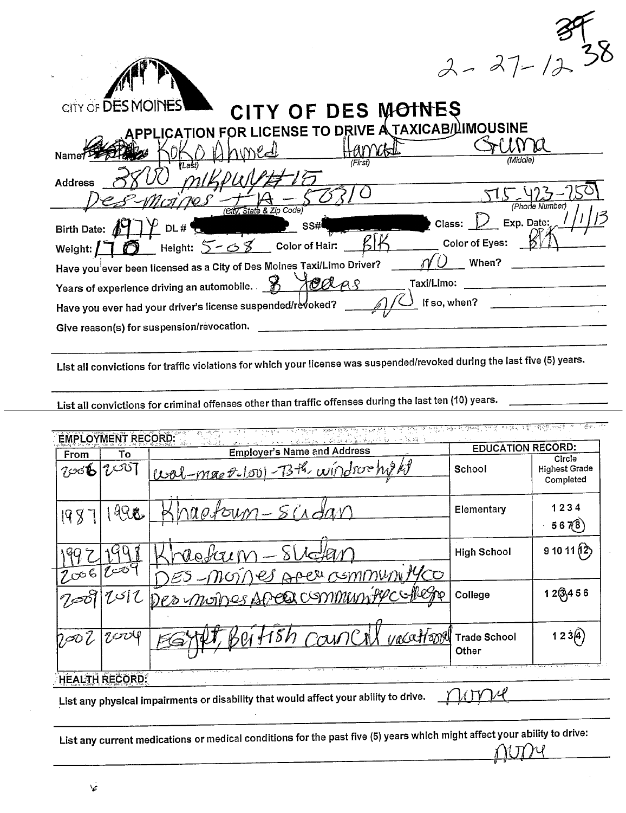| $2 - 27 - 1238$ |  |
|-----------------|--|
|                 |  |

<u>ਵਿਸ਼ਵ ਦੇ ਸ</u>

| CITY OF DES MOINES<br>CITY OF DES MOTNES                                        |
|---------------------------------------------------------------------------------|
| <b>ICENSE TO DRIVE A TAXICAB/LIMOUSINE</b>                                      |
| Name <sup>.</sup><br>'Middle                                                    |
| (First)<br>YLašt<br><b>Address</b>                                              |
| (Phone Number)                                                                  |
| (City, State & Zip Code)<br>Exp. Date:<br>Class:<br>SS#<br>Birth Date: A<br>DL# |
| <b>Color of Eyes:</b><br>Height: $5 - 68$<br>Color of Hair:<br>Weight:          |
| When?<br>Have you ever been licensed as a City of Des Moines Taxi/Limo Driver?  |
| Taxi/Limo:<br>Years of experience driving an automobile.                        |
| If so, when?<br>Have you ever had your driver's license suspended/revoked?      |
| Give reason(s) for suspension/revocation.                                       |

List all convictions for traffic violations for which your license was suspended/revoked during the last five (5) years.

List all convictions for criminal offenses other than traffic offenses during the last ten (10) years.

|              | <b>EMPLOYMENT RECORD:</b><br>То | <u>a guide ou la de se so Sa Koorte de la militar le</u><br><b>Employer's Name and Address</b> | <b>EDUCATION RECORD:</b>            |                                             |
|--------------|---------------------------------|------------------------------------------------------------------------------------------------|-------------------------------------|---------------------------------------------|
| From<br>7,06 | $\imath$ ا $\imath$ ن $\imath$  | Wal-mae P-/001-73th windown/200                                                                | School                              | Circle<br><b>Highest Grade</b><br>Completed |
| 198          | 498                             | napotoum-                                                                                      | Elementary                          | 1234<br>567(8)                              |
|              | 2006/2009                       | ES-moiner Apercsmmunityco                                                                      | <b>High School</b>                  | 91011(2)                                    |
|              | $7$ أك $7\,$                    | Des moines Aree community college                                                              | College                             | $12\sqrt{3}456$                             |
| 7,OO         | $7$ cro $9$                     | yacatrony                                                                                      | <b>Trade School</b><br><b>Other</b> | 123(4)                                      |

List any physical impairments or disability that would affect your ability to drive.

List any current medications or medical conditions for the past five (5) years which might affect your ability to drive: YI TY VI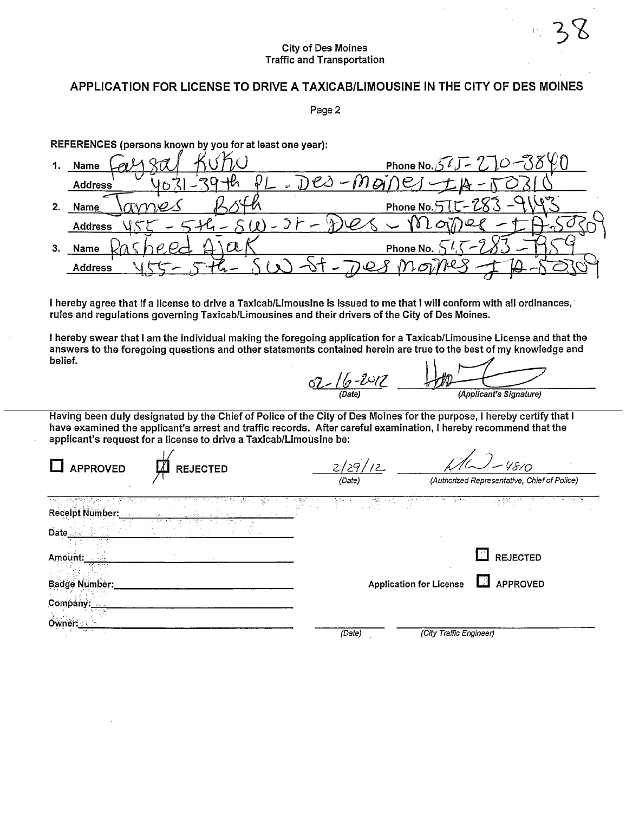## APPLICATION FOR LICENSE TO DRIVE A TAXICAB/LIMOUSINE IN THE CITY OF DES MOINES

Page 2

REFERENCES (persons known by you for at least one year):

|    | 1. Name             | Phone No. $56J$     |
|----|---------------------|---------------------|
|    | <b>Address</b>      |                     |
| 2. | Name                | Phone No. $515-283$ |
|    | <b>Address</b>      |                     |
| 3. | Name                | Phone No.           |
|    | <b>Address</b><br>℡ | ☞                   |

I hereby agree that if a license to drive a Taxicab/Limousine is issued to me that I will conform with all ordinances, rules and regulations governing Taxicab/Limousines and their drivers of the City of Des Moines.

I hereby swear that I am the individual making the foregoing application for a Taxicab/Limousine License and that the answers to the foregoing questions and other statements contained herein are true to the best of my knowledge and belief.

 $02 - 16 - 2012$ (Applicant's Signature)

Having been duly designated by the Chief of Police of the City of Des Moines for the purpose, I hereby certify that I have examined the applicant's arrest and traffic records. After careful examination, I hereby recommend that the applicant's request for a license to drive a Taxicab/Limousine be:

| <b>APPROVED</b><br><b>REJECTED</b> | 2/29/12<br>(Date) |                                | 4810<br>(Authorized Representative, Chief of Police) |
|------------------------------------|-------------------|--------------------------------|------------------------------------------------------|
| <b>Receipt Number:</b><br>Date     |                   |                                |                                                      |
| Amount:                            |                   |                                | 31<br><b>REJECTED</b>                                |
| Badge Number:                      |                   | <b>Application for License</b> | L.<br><b>APPROVED</b>                                |
| Company:                           |                   |                                |                                                      |
| Owner:<br>angeles in a<br>and for  | (Date)            | (City Traffic Engineer)        |                                                      |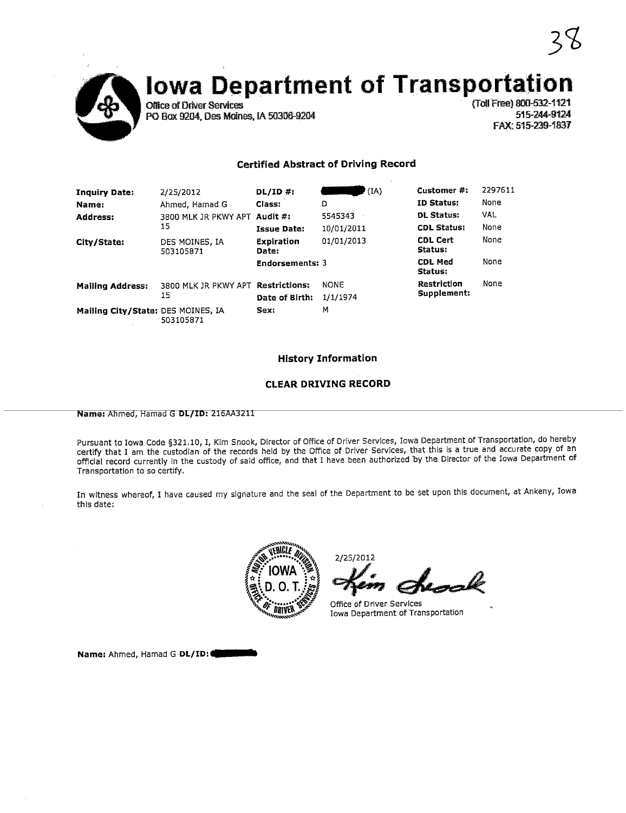

# **Iowa Department of Transportation**

**Office of Driver Services** PO Box 9204, Des Moines, IA 50306-9204 (Toll Free) 800-532-1121 515-244-9124 FAX: 515-239-1837

## **Certified Abstract of Driving Record**

| <b>Inquiry Date:</b>               | 2/25/2012                          | $DL/ID$ #:                 | (IA)        | Customer #:                | 2297611    |
|------------------------------------|------------------------------------|----------------------------|-------------|----------------------------|------------|
| Name:                              | Ahmed, Hamad G                     | Class:                     | D           | <b>ID Status:</b>          | None       |
| <b>Address:</b>                    | 3800 MLK JR PKWY APT Audit #:      |                            | 5545343     | <b>DL Status:</b>          | <b>VAL</b> |
|                                    | 15                                 | Issue Date:                | 10/01/2011  | <b>CDL Status:</b>         | None       |
| City/State:                        | DES MOINES, IA<br>503105871        | <b>Expiration</b><br>Date: | 01/01/2013  | <b>CDL Cert</b><br>Status: | None       |
|                                    |                                    | <b>Endorsements: 3</b>     |             | <b>CDL Med</b><br>Status:  | None       |
| <b>Mailing Address:</b>            | 3800 MLK JR PKWY APT Restrictions: |                            | <b>NONE</b> | Restriction                | None       |
|                                    | 15                                 | Date of Birth:             | 1/1/1974    | Supplement:                |            |
| Mailing City/State: DES MOINES, IA | 503105871                          | Sex:                       | м           |                            |            |

### **History Information**

### **CLEAR DRIVING RECORD**

Name: Ahmed, Hamad G DL/ID: 216AA3211

Pursuant to Iowa Code §321.10, I, Kim Snook, Director of Office of Driver Services, Iowa Department of Transportation, do hereby certify that I am the custodian of the records held by the Office of Driver Services, that this is a true and accurate copy of an official record currently in the custody of said office, and that I have been authorized by the Director of the Iowa Department of Transportation to so certify.

In witness whereof, I have caused my signature and the seal of the Department to be set upon this document, at Ankeny, Iowa this date:



2/25/2012

Office of Driver Services Iowa Department of Transportation

Name: Ahmed, Hamad G DL/ID: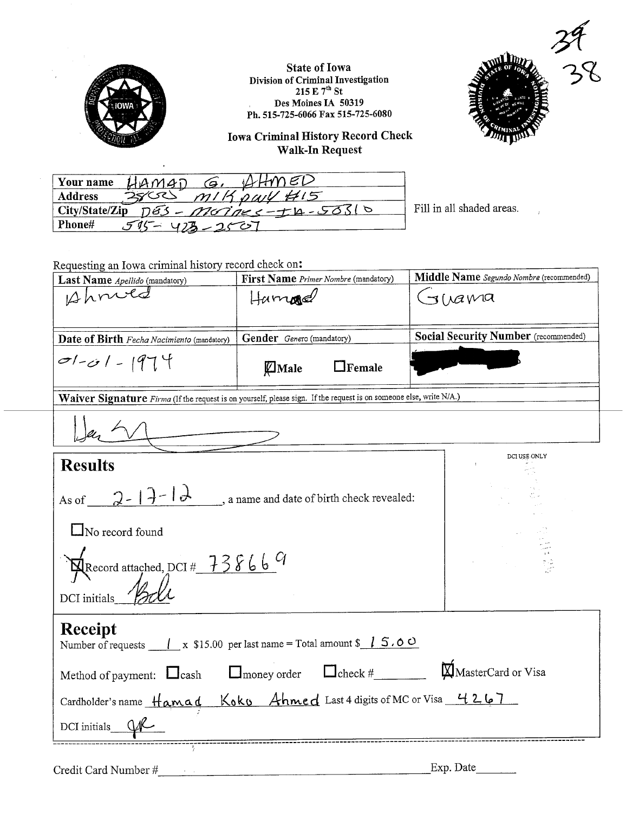

**State of Iowa** Division of Criminal Investigation<br>215 E  $7^{\text{th}}$  St<br>Des Moines IA 50319 Ph. 515-725-6066 Fax 515-725-6080



**Iowa Criminal History Record Check** Walk-In Request

| $11400$ $\epsilon$<br>$HAMAD$ $G.$<br>Your name    |                    |
|----------------------------------------------------|--------------------|
| m114.041415<br>Address                             |                    |
| $City/State/Zip$ $\overline{DS}$ - Mornes-th-50310 | Fill in all shaded |
| Phone#<br>$515 - 473 - 2507$                       |                    |

d areas.

Requesting an Iowa criminal history record check on:

 $\ddot{\phantom{a}}$ 

| Last Name Apellido (mandatory)                                                                                                                                                                                                                | Middle Name Segundo Nombre (recommended)                |                                             |  |
|-----------------------------------------------------------------------------------------------------------------------------------------------------------------------------------------------------------------------------------------------|---------------------------------------------------------|---------------------------------------------|--|
| Ahnied                                                                                                                                                                                                                                        | $H$ umned                                               | $J/\lambda$ awa                             |  |
|                                                                                                                                                                                                                                               |                                                         |                                             |  |
| Date of Birth Fecha Nacimiento (mandatory)                                                                                                                                                                                                    | Gender Genero (mandatory)                               | <b>Social Security Number</b> (recommended) |  |
| $0-1-01-1974$                                                                                                                                                                                                                                 | Male<br>$\Box$ Female                                   |                                             |  |
| Waiver Signature Firma (If the request is on yourself, please sign. If the request is on someone else, write N/A.)                                                                                                                            |                                                         |                                             |  |
|                                                                                                                                                                                                                                               |                                                         |                                             |  |
| <b>Results</b>                                                                                                                                                                                                                                |                                                         | DCI USE ONLY                                |  |
| As of $2-1$ $\overline{) - 1}$ $\overline{) - 1}$ a name and date of birth check revealed:<br>$\Box$ No record found<br>Record attached, DCI # 738669                                                                                         | $\mathcal{F}_{\text{max}}$ , $\mathcal{F}_{\text{max}}$ |                                             |  |
| DCI initials_ $\mathscr{L}$<br>Receipt<br>Number of requests $\frac{1}{x}$ x \$15.00 per last name = Total amount \$ $\frac{1}{x}$ 5.00<br>Cardholder's name Hamad Koko Ahmed Last 4 digits of MC or Visa 4267<br>DCI initials $Q_{\text{N}}$ |                                                         |                                             |  |

Exp. Date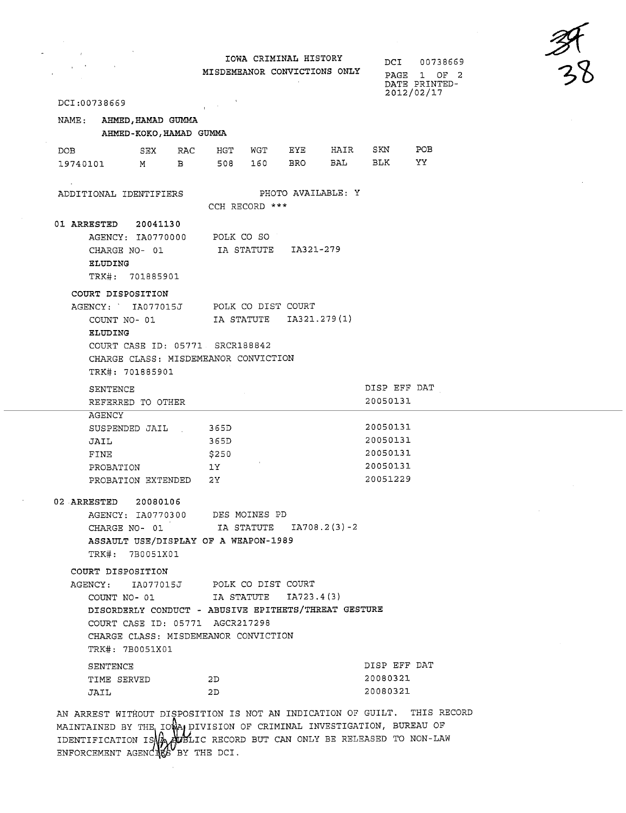| DCI:00738669<br>NAME: AHMED, HAMAD GUMMA<br>AHMED-KOKO, HAMAD GUMMA<br>RAC<br>DOB<br>SEX<br>19740101<br>B<br>M <sub>N</sub>                                           | IOWA CRIMINAL HISTORY<br>MISDEMEANOR CONVICTIONS ONLY                                             | $\frac{31}{28}$<br>DCI<br>00738669<br>1 OF 2<br>PAGE<br>DATE PRINTED-<br>2012/02/17 |
|-----------------------------------------------------------------------------------------------------------------------------------------------------------------------|---------------------------------------------------------------------------------------------------|-------------------------------------------------------------------------------------|
|                                                                                                                                                                       |                                                                                                   |                                                                                     |
|                                                                                                                                                                       |                                                                                                   |                                                                                     |
|                                                                                                                                                                       |                                                                                                   |                                                                                     |
|                                                                                                                                                                       |                                                                                                   |                                                                                     |
|                                                                                                                                                                       |                                                                                                   |                                                                                     |
|                                                                                                                                                                       | EYE<br>HAIR<br>HGT<br>WGT<br>BRO<br>BAL<br>508<br>160                                             | SKN<br>POB<br>BLK<br>YY.                                                            |
| ADDITIONAL IDENTIFIERS                                                                                                                                                | PHOTO AVAILABLE: Y<br>CCH RECORD ***                                                              |                                                                                     |
| 01 ARRESTED<br>20041130<br>AGENCY: IA0770000<br>CHARGE NO-01<br>ELUDING<br>TRK#: 701885901                                                                            | POLK CO SO<br>IA321-279<br>IA STATUTE                                                             |                                                                                     |
| COURT DISPOSITION<br>AGENCY: IA077015J<br>COUNT NO-01<br><b>ELUDING</b><br>COURT CASE ID: 05771 SRCR188842<br>CHARGE CLASS: MISDEMEANOR CONVICTION<br>TRK#: 701885901 | POLK CO DIST COURT<br>IA STATUTE IA321.279(1)                                                     |                                                                                     |
| SENTENCE<br>REFERRED TO OTHER                                                                                                                                         |                                                                                                   | DISP EFF DAT<br>20050131                                                            |
| AGENCY<br>SUSPENDED JAIL<br>JAIL<br>FINE<br>PROBATION<br>PROBATION EXTENDED                                                                                           | 365D<br>365D<br>\$250<br>1Y<br>2Y                                                                 | 20050131<br>20050131<br>20050131<br>20050131<br>20051229                            |
| 02 ARRESTED 20080106<br>AGENCY: IA0770300 DES MOINES PD<br>ASSAULT USE/DISPLAY OF A WEAPON-1989<br>TRK#: 7B0051X01                                                    | CHARGE NO- 01 [A STATUTE 1A708.2(3)-2                                                             |                                                                                     |
| COURT DISPOSITION<br>AGENCY: IA077015J POLK CO DIST COURT<br>COURT CASE ID: 05771 AGCR217298<br>CHARGE CLASS: MISDEMEANOR CONVICTION<br>TRK#: 7B0051X01               | COUNT NO- 01 $I$ IA STATUTE $I$ A723.4(3)<br>DISORDERLY CONDUCT - ABUSIVE EPITHETS/THREAT GESTURE |                                                                                     |
| SENTENCE<br>TIME SERVED<br>JAIL                                                                                                                                       | 2D<br>2D                                                                                          | DISP EFF DAT<br>20080321<br>20080321                                                |

MAINTAINED BY THE IOWA DIVISION OF CRIMINAL INVESTIGATION, BUREAU OF IDENTIFICATION IS VALIENT CRECORD BUT CAN ONLY BE RELEASED TO NON-LAW ENFORCEMENT AGENCIES BY THE DCI.